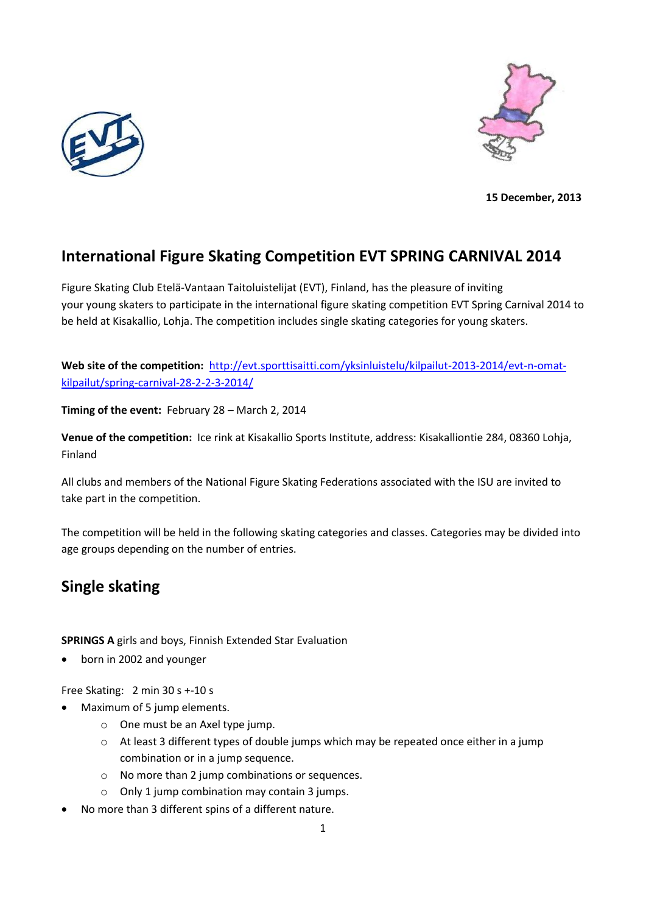



**15 December, 2013**

# **International Figure Skating Competition EVT SPRING CARNIVAL 2014**

Figure Skating Club Etelä-Vantaan Taitoluistelijat (EVT), Finland, has the pleasure of inviting your young skaters to participate in the international figure skating competition EVT Spring Carnival 2014 to be held at Kisakallio, Lohja. The competition includes single skating categories for young skaters.

Web site of the competition: [http://evt.sporttisaitti.com/yksinluistelu/kilpailut-2013-2014/evt-n-omat](http://evt.sporttisaitti.com/yksinluistelu/kilpailut-2013-2014/evt-n-omat-kilpailut/spring-carnival-28-2-2-3-2014/)[kilpailut/spring-carnival-28-2-2-3-2014/](http://evt.sporttisaitti.com/yksinluistelu/kilpailut-2013-2014/evt-n-omat-kilpailut/spring-carnival-28-2-2-3-2014/)

**Timing of the event:** February 28 – March 2, 2014

**Venue of the competition:** Ice rink at Kisakallio Sports Institute, address: Kisakalliontie 284, 08360 Lohja, Finland

All clubs and members of the National Figure Skating Federations associated with the ISU are invited to take part in the competition.

The competition will be held in the following skating categories and classes. Categories may be divided into age groups depending on the number of entries.

# **Single skating**

**SPRINGS A** girls and boys, Finnish Extended Star Evaluation

born in 2002 and younger

Free Skating: 2 min 30 s +-10 s

- Maximum of 5 jump elements.
	- o One must be an Axel type jump.
	- o At least 3 different types of double jumps which may be repeated once either in a jump combination or in a jump sequence.
	- o No more than 2 jump combinations or sequences.
	- o Only 1 jump combination may contain 3 jumps.
- No more than 3 different spins of a different nature.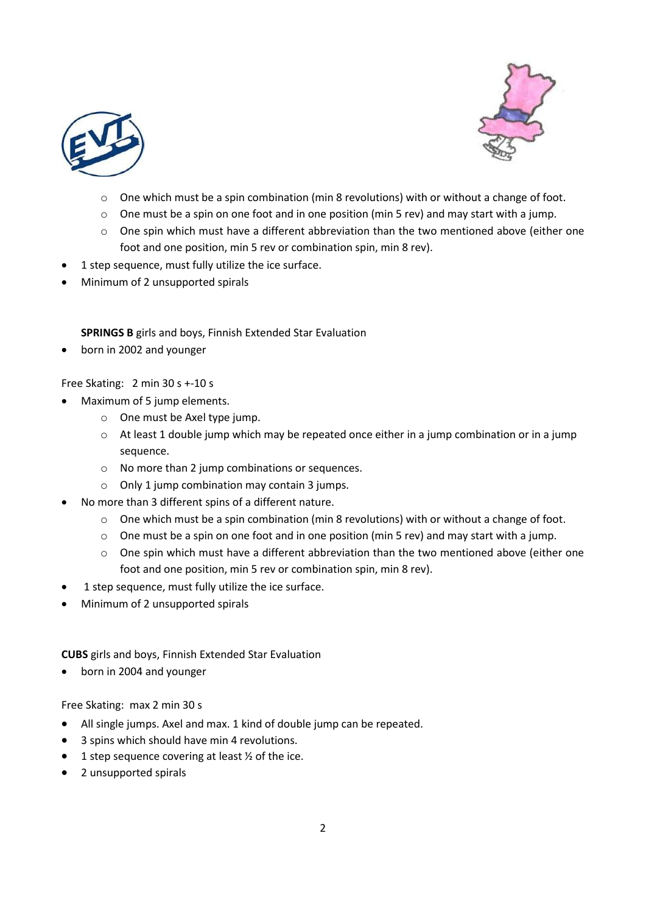



- $\circ$  One which must be a spin combination (min 8 revolutions) with or without a change of foot.
- $\circ$  One must be a spin on one foot and in one position (min 5 rev) and may start with a jump.
- o One spin which must have a different abbreviation than the two mentioned above (either one foot and one position, min 5 rev or combination spin, min 8 rev).
- 1 step sequence, must fully utilize the ice surface.
- Minimum of 2 unsupported spirals

# **SPRINGS B** girls and boys, Finnish Extended Star Evaluation

born in 2002 and younger

# Free Skating: 2 min 30 s +-10 s

- Maximum of 5 jump elements.
	- o One must be Axel type jump.
	- o At least 1 double jump which may be repeated once either in a jump combination or in a jump sequence.
	- o No more than 2 jump combinations or sequences.
	- o Only 1 jump combination may contain 3 jumps.
- No more than 3 different spins of a different nature.
	- $\circ$  One which must be a spin combination (min 8 revolutions) with or without a change of foot.
	- $\circ$  One must be a spin on one foot and in one position (min 5 rev) and may start with a jump.
	- $\circ$  One spin which must have a different abbreviation than the two mentioned above (either one foot and one position, min 5 rev or combination spin, min 8 rev).
- 1 step sequence, must fully utilize the ice surface.
- Minimum of 2 unsupported spirals

**CUBS** girls and boys, Finnish Extended Star Evaluation

born in 2004 and younger

Free Skating: max 2 min 30 s

- All single jumps. Axel and max. 1 kind of double jump can be repeated.
- 3 spins which should have min 4 revolutions.
- $\bullet$  1 step sequence covering at least  $\frac{1}{2}$  of the ice.
- 2 unsupported spirals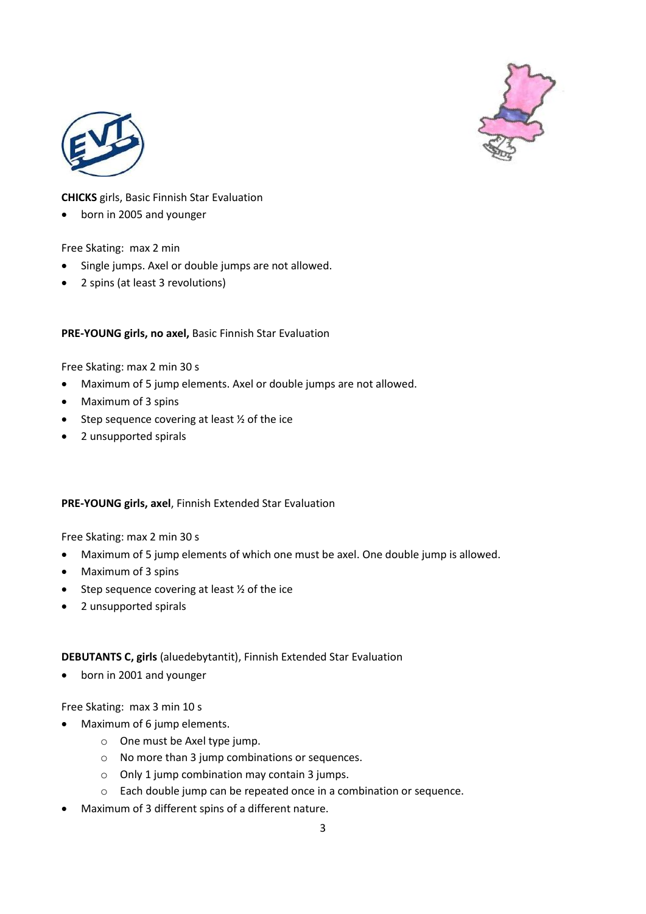



# **CHICKS** girls, Basic Finnish Star Evaluation

born in 2005 and younger

### Free Skating: max 2 min

- Single jumps. Axel or double jumps are not allowed.
- 2 spins (at least 3 revolutions)

### **PRE-YOUNG girls, no axel,** Basic Finnish Star Evaluation

Free Skating: max 2 min 30 s

- Maximum of 5 jump elements. Axel or double jumps are not allowed.
- Maximum of 3 spins
- $\bullet$  Step sequence covering at least  $\frac{1}{2}$  of the ice
- 2 unsupported spirals

### **PRE-YOUNG girls, axel**, Finnish Extended Star Evaluation

Free Skating: max 2 min 30 s

- Maximum of 5 jump elements of which one must be axel. One double jump is allowed.
- Maximum of 3 spins
- $\bullet$  Step sequence covering at least  $\frac{1}{2}$  of the ice
- 2 unsupported spirals

### **DEBUTANTS C, girls** (aluedebytantit), Finnish Extended Star Evaluation

born in 2001 and younger

Free Skating: max 3 min 10 s

- Maximum of 6 jump elements.
	- o One must be Axel type jump.
	- o No more than 3 jump combinations or sequences.
	- o Only 1 jump combination may contain 3 jumps.
	- o Each double jump can be repeated once in a combination or sequence.
- Maximum of 3 different spins of a different nature.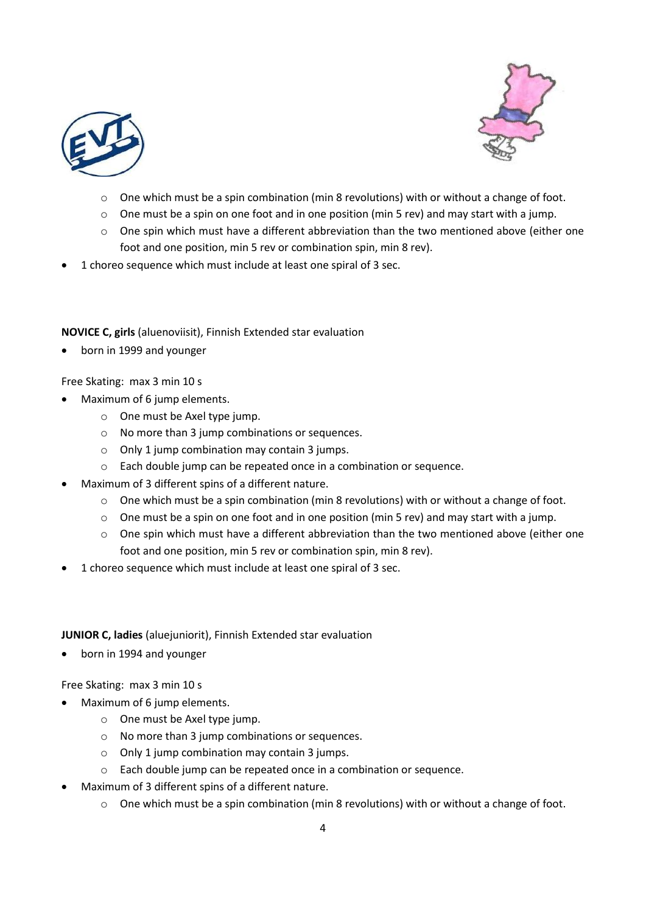



- $\circ$  One which must be a spin combination (min 8 revolutions) with or without a change of foot.
- $\circ$  One must be a spin on one foot and in one position (min 5 rev) and may start with a jump.
- o One spin which must have a different abbreviation than the two mentioned above (either one foot and one position, min 5 rev or combination spin, min 8 rev).
- 1 choreo sequence which must include at least one spiral of 3 sec.

### **NOVICE C, girls** (aluenoviisit), Finnish Extended star evaluation

born in 1999 and younger

#### Free Skating: max 3 min 10 s

- Maximum of 6 jump elements.
	- o One must be Axel type jump.
	- o No more than 3 jump combinations or sequences.
	- o Only 1 jump combination may contain 3 jumps.
	- o Each double jump can be repeated once in a combination or sequence.
- Maximum of 3 different spins of a different nature.
	- o One which must be a spin combination (min 8 revolutions) with or without a change of foot.
	- $\circ$  One must be a spin on one foot and in one position (min 5 rev) and may start with a jump.
	- $\circ$  One spin which must have a different abbreviation than the two mentioned above (either one foot and one position, min 5 rev or combination spin, min 8 rev).
- 1 choreo sequence which must include at least one spiral of 3 sec.

#### **JUNIOR C, ladies** (aluejuniorit), Finnish Extended star evaluation

born in 1994 and younger

### Free Skating: max 3 min 10 s

- Maximum of 6 jump elements.
	- o One must be Axel type jump.
	- o No more than 3 jump combinations or sequences.
	- o Only 1 jump combination may contain 3 jumps.
	- o Each double jump can be repeated once in a combination or sequence.
- Maximum of 3 different spins of a different nature.
	- $\circ$  One which must be a spin combination (min 8 revolutions) with or without a change of foot.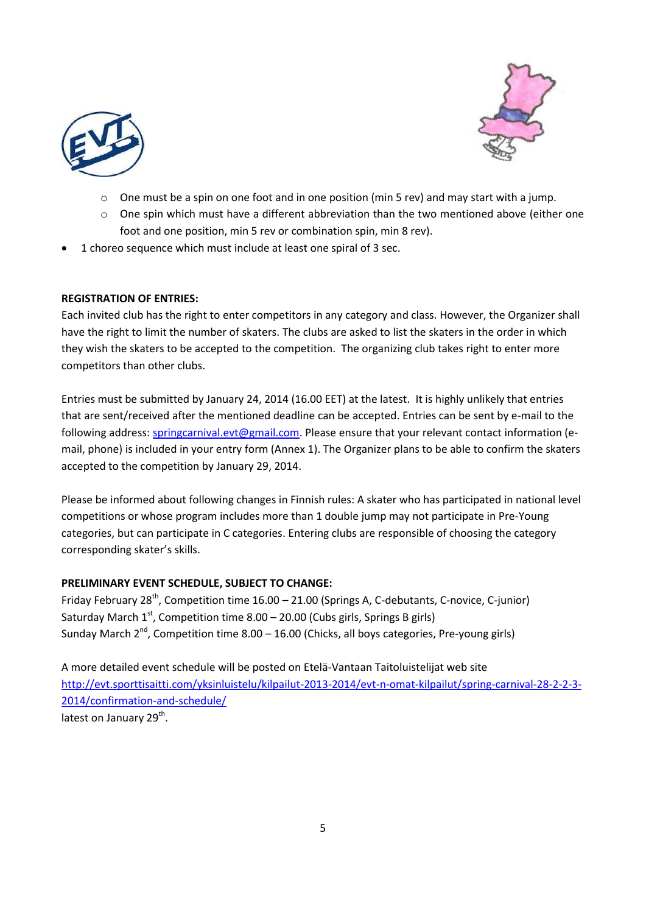



- One must be a spin on one foot and in one position (min 5 rev) and may start with a jump.
- $\circ$  One spin which must have a different abbreviation than the two mentioned above (either one foot and one position, min 5 rev or combination spin, min 8 rev).
- 1 choreo sequence which must include at least one spiral of 3 sec.

# **REGISTRATION OF ENTRIES:**

Each invited club has the right to enter competitors in any category and class. However, the Organizer shall have the right to limit the number of skaters. The clubs are asked to list the skaters in the order in which they wish the skaters to be accepted to the competition. The organizing club takes right to enter more competitors than other clubs.

Entries must be submitted by January 24, 2014 (16.00 EET) at the latest. It is highly unlikely that entries that are sent/received after the mentioned deadline can be accepted. Entries can be sent by e-mail to the following address[: springcarnival.evt@gmail.com.](mailto:springcarnival.evt@gmail.com) Please ensure that your relevant contact information (email, phone) is included in your entry form (Annex 1). The Organizer plans to be able to confirm the skaters accepted to the competition by January 29, 2014.

Please be informed about following changes in Finnish rules: A skater who has participated in national level competitions or whose program includes more than 1 double jump may not participate in Pre-Young categories, but can participate in C categories. Entering clubs are responsible of choosing the category corresponding skater's skills.

### **PRELIMINARY EVENT SCHEDULE, SUBJECT TO CHANGE:**

Friday February 28<sup>th</sup>, Competition time 16.00 - 21.00 (Springs A, C-debutants, C-novice, C-junior) Saturday March  $1^{st}$ , Competition time 8.00 – 20.00 (Cubs girls, Springs B girls) Sunday March  $2^{nd}$ , Competition time  $8.00 - 16.00$  (Chicks, all boys categories, Pre-young girls)

A more detailed event schedule will be posted on Etelä-Vantaan Taitoluistelijat web site [http://evt.sporttisaitti.com/yksinluistelu/kilpailut-2013-2014/evt-n-omat-kilpailut/spring-carnival-28-2-2-3-](http://evt.sporttisaitti.com/yksinluistelu/kilpailut-2013-2014/evt-n-omat-kilpailut/spring-carnival-28-2-2-3-2014/confirmation-and-schedule/) [2014/confirmation-and-schedule/](http://evt.sporttisaitti.com/yksinluistelu/kilpailut-2013-2014/evt-n-omat-kilpailut/spring-carnival-28-2-2-3-2014/confirmation-and-schedule/) latest on January 29<sup>th</sup>.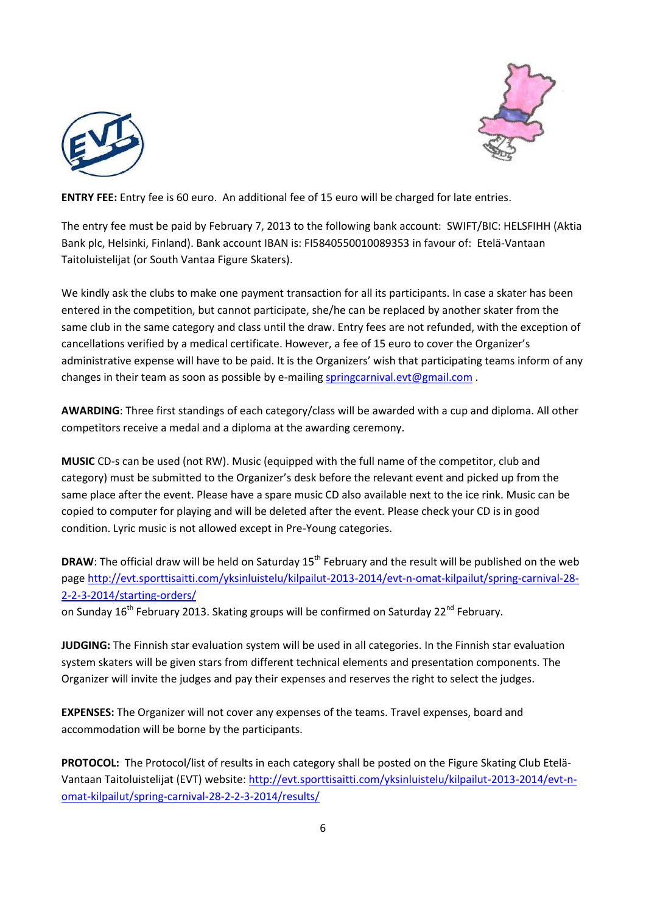



**ENTRY FEE:** Entry fee is 60 euro. An additional fee of 15 euro will be charged for late entries.

The entry fee must be paid by February 7, 2013 to the following bank account: SWIFT/BIC: HELSFIHH (Aktia Bank plc, Helsinki, Finland). Bank account IBAN is: FI5840550010089353 in favour of: Etelä-Vantaan Taitoluistelijat (or South Vantaa Figure Skaters).

We kindly ask the clubs to make one payment transaction for all its participants. In case a skater has been entered in the competition, but cannot participate, she/he can be replaced by another skater from the same club in the same category and class until the draw. Entry fees are not refunded, with the exception of cancellations verified by a medical certificate. However, a fee of 15 euro to cover the Organizer's administrative expense will have to be paid. It is the Organizers' wish that participating teams inform of any changes in their team as soon as possible by e-mailing [springcarnival.evt@gmail.com](mailto:springcarnival.evt@gmail.com) .

**AWARDING**: Three first standings of each category/class will be awarded with a cup and diploma. All other competitors receive a medal and a diploma at the awarding ceremony.

**MUSIC** CD-s can be used (not RW). Music (equipped with the full name of the competitor, club and category) must be submitted to the Organizer's desk before the relevant event and picked up from the same place after the event. Please have a spare music CD also available next to the ice rink. Music can be copied to computer for playing and will be deleted after the event. Please check your CD is in good condition. Lyric music is not allowed except in Pre-Young categories.

**DRAW**: The official draw will be held on Saturday 15<sup>th</sup> February and the result will be published on the web page [http://evt.sporttisaitti.com/yksinluistelu/kilpailut-2013-2014/evt-n-omat-kilpailut/spring-carnival-28-](http://evt.sporttisaitti.com/yksinluistelu/kilpailut-2013-2014/evt-n-omat-kilpailut/spring-carnival-28-2-2-3-2014/starting-orders/) [2-2-3-2014/starting-orders/](http://evt.sporttisaitti.com/yksinluistelu/kilpailut-2013-2014/evt-n-omat-kilpailut/spring-carnival-28-2-2-3-2014/starting-orders/)

on Sunday 16<sup>th</sup> February 2013. Skating groups will be confirmed on Saturday 22<sup>nd</sup> February.

**JUDGING:** The Finnish star evaluation system will be used in all categories. In the Finnish star evaluation system skaters will be given stars from different technical elements and presentation components. The Organizer will invite the judges and pay their expenses and reserves the right to select the judges.

**EXPENSES:** The Organizer will not cover any expenses of the teams. Travel expenses, board and accommodation will be borne by the participants.

PROTOCOL: The Protocol/list of results in each category shall be posted on the Figure Skating Club Etelä-Vantaan Taitoluistelijat (EVT) website: [http://evt.sporttisaitti.com/yksinluistelu/kilpailut-2013-2014/evt-n](http://evt.sporttisaitti.com/yksinluistelu/kilpailut-2013-2014/evt-n-omat-kilpailut/spring-carnival-28-2-2-3-2014/results/)[omat-kilpailut/spring-carnival-28-2-2-3-2014/results/](http://evt.sporttisaitti.com/yksinluistelu/kilpailut-2013-2014/evt-n-omat-kilpailut/spring-carnival-28-2-2-3-2014/results/)